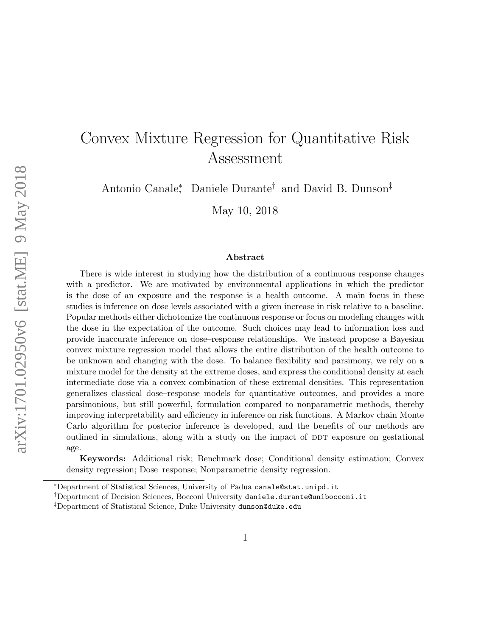# Convex Mixture Regression for Quantitative Risk Assessment

Antonio Canale<sup>∗</sup> , Daniele Durante† and David B. Dunson‡

May 10, 2018

### Abstract

There is wide interest in studying how the distribution of a continuous response changes with a predictor. We are motivated by environmental applications in which the predictor is the dose of an exposure and the response is a health outcome. A main focus in these studies is inference on dose levels associated with a given increase in risk relative to a baseline. Popular methods either dichotomize the continuous response or focus on modeling changes with the dose in the expectation of the outcome. Such choices may lead to information loss and provide inaccurate inference on dose–response relationships. We instead propose a Bayesian convex mixture regression model that allows the entire distribution of the health outcome to be unknown and changing with the dose. To balance flexibility and parsimony, we rely on a mixture model for the density at the extreme doses, and express the conditional density at each intermediate dose via a convex combination of these extremal densities. This representation generalizes classical dose–response models for quantitative outcomes, and provides a more parsimonious, but still powerful, formulation compared to nonparametric methods, thereby improving interpretability and efficiency in inference on risk functions. A Markov chain Monte Carlo algorithm for posterior inference is developed, and the benefits of our methods are outlined in simulations, along with a study on the impact of DDT exposure on gestational age.

Keywords: Additional risk; Benchmark dose; Conditional density estimation; Convex density regression; Dose–response; Nonparametric density regression.

<sup>∗</sup>Department of Statistical Sciences, University of Padua canale@stat.unipd.it

<sup>†</sup>Department of Decision Sciences, Bocconi University daniele.durante@unibocconi.it

<sup>‡</sup>Department of Statistical Science, Duke University dunson@duke.edu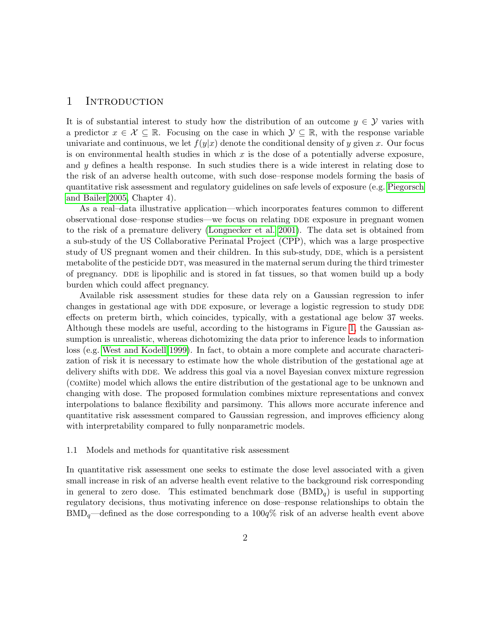# <span id="page-1-1"></span>1 INTRODUCTION

It is of substantial interest to study how the distribution of an outcome  $y \in \mathcal{Y}$  varies with a predictor  $x \in \mathcal{X} \subseteq \mathbb{R}$ . Focusing on the case in which  $\mathcal{Y} \subseteq \mathbb{R}$ , with the response variable univariate and continuous, we let  $f(y|x)$  denote the conditional density of y given x. Our focus is on environmental health studies in which  $x$  is the dose of a potentially adverse exposure, and y defines a health response. In such studies there is a wide interest in relating dose to the risk of an adverse health outcome, with such dose–response models forming the basis of quantitative risk assessment and regulatory guidelines on safe levels of exposure (e.g. [Piegorsch](#page-23-0) [and Bailer 2005,](#page-23-0) Chapter 4).

As a real–data illustrative application—which incorporates features common to different observational dose–response studies—we focus on relating DDE exposure in pregnant women to the risk of a premature delivery [\(Longnecker et al. 2001\)](#page-23-1). The data set is obtained from a sub-study of the US Collaborative Perinatal Project (CPP), which was a large prospective study of US pregnant women and their children. In this sub-study, DDE, which is a persistent metabolite of the pesticide DDT, was measured in the maternal serum during the third trimester of pregnancy. DDE is lipophilic and is stored in fat tissues, so that women build up a body burden which could affect pregnancy.

Available risk assessment studies for these data rely on a Gaussian regression to infer changes in gestational age with DDE exposure, or leverage a logistic regression to study DDE effects on preterm birth, which coincides, typically, with a gestational age below 37 weeks. Although these models are useful, according to the histograms in Figure [1,](#page-2-0) the Gaussian assumption is unrealistic, whereas dichotomizing the data prior to inference leads to information loss (e.g. [West and Kodell 1999\)](#page-24-0). In fact, to obtain a more complete and accurate characterization of risk it is necessary to estimate how the whole distribution of the gestational age at delivery shifts with DDE. We address this goal via a novel Bayesian convex mixture regression (comire) model which allows the entire distribution of the gestational age to be unknown and changing with dose. The proposed formulation combines mixture representations and convex interpolations to balance flexibility and parsimony. This allows more accurate inference and quantitative risk assessment compared to Gaussian regression, and improves efficiency along with interpretability compared to fully nonparametric models.

## <span id="page-1-0"></span>1.1 Models and methods for quantitative risk assessment

In quantitative risk assessment one seeks to estimate the dose level associated with a given small increase in risk of an adverse health event relative to the background risk corresponding in general to zero dose. This estimated benchmark dose  $(BMD<sub>q</sub>)$  is useful in supporting regulatory decisions, thus motivating inference on dose–response relationships to obtain the  $BMD<sub>q</sub>$ —defined as the dose corresponding to a 100 $q\%$  risk of an adverse health event above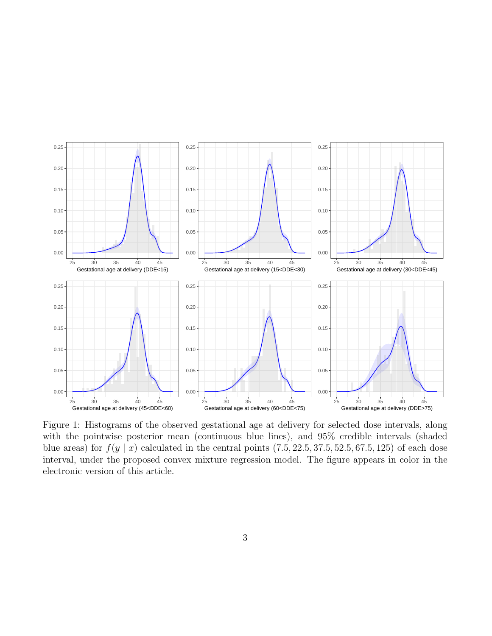<span id="page-2-0"></span>

Figure 1: Histograms of the observed gestational age at delivery for selected dose intervals, along with the pointwise posterior mean (continuous blue lines), and  $95\%$  credible intervals (shaded blue areas) for  $f(y \mid x)$  calculated in the central points  $(7.5, 22.5, 37.5, 52.5, 67.5, 125)$  of each dose interval, under the proposed convex mixture regression model. The figure appears in color in the electronic version of this article.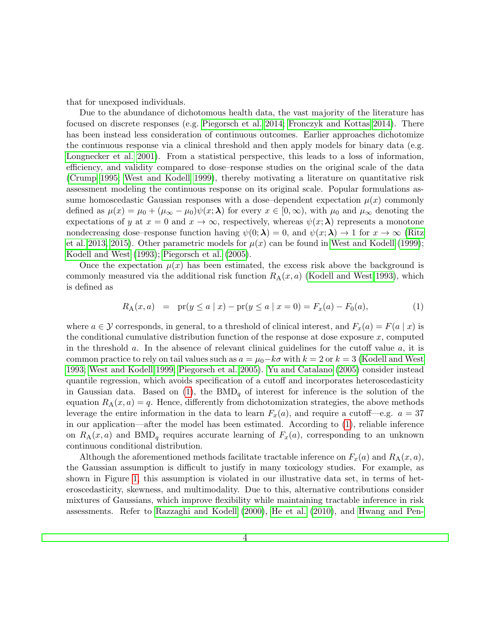that for unexposed individuals.

Due to the abundance of dichotomous health data, the vast majority of the literature has focused on discrete responses (e.g. [Piegorsch et al. 2014;](#page-23-2) [Fronczyk and Kottas 2014\)](#page-22-0). There has been instead less consideration of continuous outcomes. Earlier approaches dichotomize the continuous response via a clinical threshold and then apply models for binary data (e.g. [Longnecker et al. 2001\)](#page-23-1). From a statistical perspective, this leads to a loss of information, efficiency, and validity compared to dose–response studies on the original scale of the data [\(Crump 1995;](#page-22-1) [West and Kodell 1999\)](#page-24-0), thereby motivating a literature on quantitative risk assessment modeling the continuous response on its original scale. Popular formulations assume homoscedastic Gaussian responses with a dose-dependent expectation  $\mu(x)$  commonly defined as  $\mu(x) = \mu_0 + (\mu_\infty - \mu_0) \psi(x; \lambda)$  for every  $x \in [0, \infty)$ , with  $\mu_0$  and  $\mu_\infty$  denoting the expectations of y at  $x = 0$  and  $x \to \infty$ , respectively, whereas  $\psi(x; \lambda)$  represents a monotone nondecreasing dose–response function having  $\psi(0; \lambda) = 0$ , and  $\psi(x; \lambda) \rightarrow 1$  for  $x \rightarrow \infty$  [\(Ritz](#page-23-3) [et al. 2013,](#page-23-3) [2015\)](#page-23-4). Other parametric models for  $\mu(x)$  can be found in [West and Kodell](#page-24-0) [\(1999\)](#page-24-0); [Kodell and West](#page-23-5) [\(1993\)](#page-23-5); [Piegorsch et al.](#page-23-6) [\(2005\)](#page-23-6).

Once the expectation  $\mu(x)$  has been estimated, the excess risk above the background is commonly measured via the additional risk function  $R_A(x, a)$  [\(Kodell and West 1993\)](#page-23-5), which is defined as

<span id="page-3-0"></span>
$$
R_A(x, a) = \text{pr}(y \le a \mid x) - \text{pr}(y \le a \mid x = 0) = F_x(a) - F_0(a), \tag{1}
$$

where  $a \in \mathcal{Y}$  corresponds, in general, to a threshold of clinical interest, and  $F_x(a) = F(a | x)$  is the conditional cumulative distribution function of the response at dose exposure  $x$ , computed in the threshold  $a$ . In the absence of relevant clinical guidelines for the cutoff value  $a$ , it is common practice to rely on tail values such as  $a = \mu_0 - k\sigma$  with  $k = 2$  or  $k = 3$  [\(Kodell and West](#page-23-5) [1993;](#page-23-5) [West and Kodell 1999;](#page-24-0) [Piegorsch et al. 2005\)](#page-23-6). [Yu and Catalano](#page-24-1) [\(2005\)](#page-24-1) consider instead quantile regression, which avoids specification of a cutoff and incorporates heteroscedasticity in Gaussian data. Based on [\(1\)](#page-3-0), the  $BMD_q$  of interest for inference is the solution of the equation  $R_A(x, a) = q$ . Hence, differently from dichotomization strategies, the above methods leverage the entire information in the data to learn  $F_x(a)$ , and require a cutoff—e.g.  $a = 37$ in our application—after the model has been estimated. According to [\(1\)](#page-3-0), reliable inference on  $R_A(x, a)$  and BMD<sub>q</sub> requires accurate learning of  $F_x(a)$ , corresponding to an unknown continuous conditional distribution.

Although the aforementioned methods facilitate tractable inference on  $F_x(a)$  and  $R_A(x, a)$ , the Gaussian assumption is difficult to justify in many toxicology studies. For example, as shown in Figure [1,](#page-2-0) this assumption is violated in our illustrative data set, in terms of heteroscedasticity, skewness, and multimodality. Due to this, alternative contributions consider mixtures of Gaussians, which improve flexibility while maintaining tractable inference in risk assessments. Refer to [Razzaghi and Kodell](#page-23-7) [\(2000\)](#page-23-7), [He et al.](#page-22-2) [\(2010\)](#page-22-2), and [Hwang and Pen-](#page-23-8)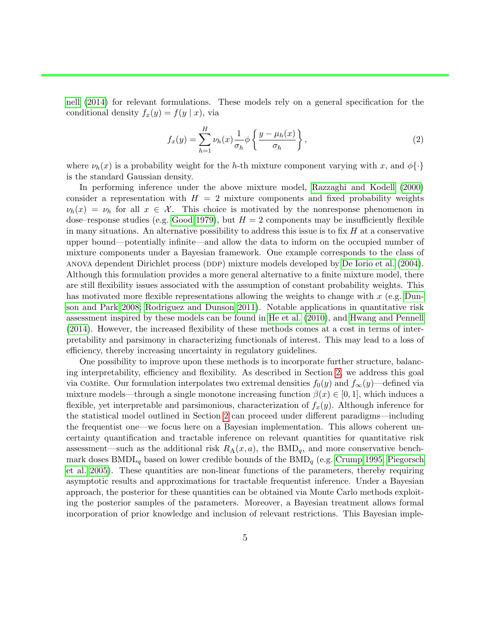[nell](#page-23-8) [\(2014\)](#page-23-8) for relevant formulations. These models rely on a general specification for the conditional density  $f_x(y) = f(y | x)$ , via

$$
f_x(y) = \sum_{h=1}^{H} \nu_h(x) \frac{1}{\sigma_h} \phi \left\{ \frac{y - \mu_h(x)}{\sigma_h} \right\},\tag{2}
$$

where  $\nu_h(x)$  is a probability weight for the h-th mixture component varying with x, and  $\phi\{\cdot\}$ is the standard Gaussian density.

In performing inference under the above mixture model, [Razzaghi and Kodell](#page-23-7) [\(2000\)](#page-23-7) consider a representation with  $H = 2$  mixture components and fixed probability weights  $\nu_h(x) = \nu_h$  for all  $x \in \mathcal{X}$ . This choice is motivated by the nonresponse phenomenon in dose–response studies (e.g. [Good 1979\)](#page-22-3), but  $H = 2$  components may be insufficiently flexible in many situations. An alternative possibility to address this issue is to fix  $H$  at a conservative upper bound—potentially infinite—and allow the data to inform on the occupied number of mixture components under a Bayesian framework. One example corresponds to the class of anova dependent Dirichlet process (DDP) mixture models developed by [De Iorio et al.](#page-22-4) [\(2004\)](#page-22-4). Although this formulation provides a more general alternative to a finite mixture model, there are still flexibility issues associated with the assumption of constant probability weights. This has motivated more flexible representations allowing the weights to change with  $x$  (e.g. [Dun](#page-22-5)[son and Park 2008;](#page-22-5) [Rodriguez and Dunson 2011\)](#page-23-9). Notable applications in quantitative risk assessment inspired by these models can be found in [He et al.](#page-22-2) [\(2010\)](#page-22-2), and [Hwang and Pennell](#page-23-8) [\(2014\)](#page-23-8). However, the increased flexibility of these methods comes at a cost in terms of interpretability and parsimony in characterizing functionals of interest. This may lead to a loss of efficiency, thereby increasing uncertainty in regulatory guidelines.

One possibility to improve upon these methods is to incorporate further structure, balancing interpretability, efficiency and flexibility. As described in Section [2,](#page-5-0) we address this goal via comire. Our formulation interpolates two extremal densities  $f_0(y)$  and  $f_\infty(y)$ —defined via mixture models—through a single monotone increasing function  $\beta(x) \in [0,1]$ , which induces a flexible, yet interpretable and parsimonious, characterization of  $f_x(y)$ . Although inference for the statistical model outlined in Section [2](#page-5-0) can proceed under different paradigms—including the frequentist one—we focus here on a Bayesian implementation. This allows coherent uncertainty quantification and tractable inference on relevant quantities for quantitative risk assessment—such as the additional risk  $R_A(x, a)$ , the BMD<sub>q</sub>, and more conservative benchmark doses  $BMDL_q$  based on lower credible bounds of the  $BMD_q$  (e.g. [Crump 1995;](#page-22-1) [Piegorsch](#page-23-6) [et al. 2005\)](#page-23-6). These quantities are non-linear functions of the parameters, thereby requiring asymptotic results and approximations for tractable frequentist inference. Under a Bayesian approach, the posterior for these quantities can be obtained via Monte Carlo methods exploiting the posterior samples of the parameters. Moreover, a Bayesian treatment allows formal incorporation of prior knowledge and inclusion of relevant restrictions. This Bayesian imple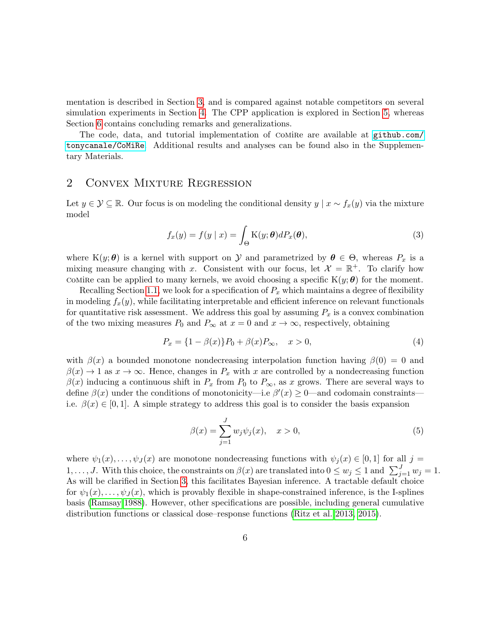mentation is described in Section [3,](#page-8-0) and is compared against notable competitors on several simulation experiments in Section [4.](#page-11-0) The CPP application is explored in Section [5,](#page-15-0) whereas Section [6](#page-18-0) contains concluding remarks and generalizations.

The code, data, and tutorial implementation of Comire are available at  $g$ ithub.com/ [tonycanale/CoMiRe](github.com/tonycanale/CoMiRe). Additional results and analyses can be found also in the Supplementary Materials.

# <span id="page-5-0"></span>2 Convex Mixture Regression

Let  $y \in \mathcal{Y} \subseteq \mathbb{R}$ . Our focus is on modeling the conditional density  $y \mid x \sim f_x(y)$  via the mixture model

<span id="page-5-1"></span>
$$
f_x(y) = f(y \mid x) = \int_{\Theta} \mathcal{K}(y; \theta) dP_x(\theta), \tag{3}
$$

where K $(y; \theta)$  is a kernel with support on Y and parametrized by  $\theta \in \Theta$ , whereas  $P_x$  is a mixing measure changing with x. Consistent with our focus, let  $\mathcal{X} = \mathbb{R}^+$ . To clarify how COMIRE can be applied to many kernels, we avoid choosing a specific  $K(y; \theta)$  for the moment.

Recalling Section [1.1,](#page-1-0) we look for a specification of  $P_x$  which maintains a degree of flexibility in modeling  $f_x(y)$ , while facilitating interpretable and efficient inference on relevant functionals for quantitative risk assessment. We address this goal by assuming  $P_x$  is a convex combination of the two mixing measures  $P_0$  and  $P_\infty$  at  $x = 0$  and  $x \to \infty$ , respectively, obtaining

<span id="page-5-2"></span>
$$
P_x = \{1 - \beta(x)\} P_0 + \beta(x) P_{\infty}, \quad x > 0,
$$
\n(4)

with  $\beta(x)$  a bounded monotone nondecreasing interpolation function having  $\beta(0) = 0$  and  $\beta(x) \to 1$  as  $x \to \infty$ . Hence, changes in  $P_x$  with x are controlled by a nondecreasing function  $\beta(x)$  inducing a continuous shift in  $P_x$  from  $P_0$  to  $P_{\infty}$ , as x grows. There are several ways to define  $\beta(x)$  under the conditions of monotonicity—i.e  $\beta'(x) \ge 0$ —and codomain constraints i.e.  $\beta(x) \in [0,1]$ . A simple strategy to address this goal is to consider the basis expansion

<span id="page-5-3"></span>
$$
\beta(x) = \sum_{j=1}^{J} w_j \psi_j(x), \quad x > 0,
$$
\n(5)

where  $\psi_1(x), \ldots, \psi_J(x)$  are monotone nondecreasing functions with  $\psi_j(x) \in [0,1]$  for all  $j =$  $1, \ldots, J$ . With this choice, the constraints on  $\beta(x)$  are translated into  $0 \leq w_j \leq 1$  and  $\sum_{j=1}^{J} w_j = 1$ . As will be clarified in Section [3,](#page-8-0) this facilitates Bayesian inference. A tractable default choice for  $\psi_1(x), \ldots, \psi_J(x)$ , which is provably flexible in shape-constrained inference, is the I-splines basis [\(Ramsay 1988\)](#page-23-10). However, other specifications are possible, including general cumulative distribution functions or classical dose–response functions [\(Ritz et al. 2013,](#page-23-3) [2015\)](#page-23-4).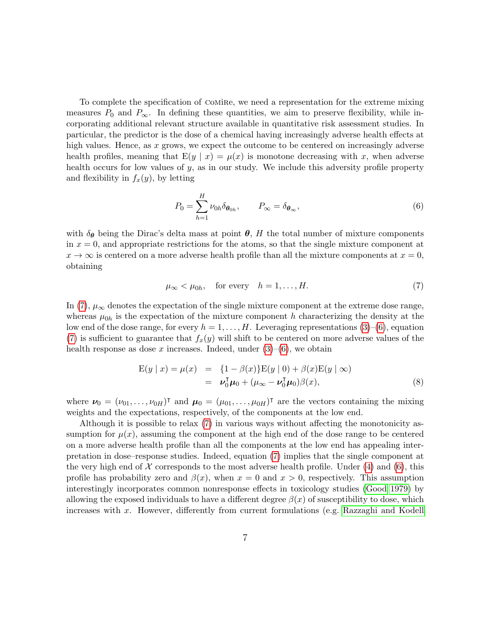To complete the specification of comire, we need a representation for the extreme mixing measures  $P_0$  and  $P_\infty$ . In defining these quantities, we aim to preserve flexibility, while incorporating additional relevant structure available in quantitative risk assessment studies. In particular, the predictor is the dose of a chemical having increasingly adverse health effects at high values. Hence, as x grows, we expect the outcome to be centered on increasingly adverse health profiles, meaning that  $E(y | x) = \mu(x)$  is monotone decreasing with x, when adverse health occurs for low values of y, as in our study. We include this adversity profile property and flexibility in  $f_x(y)$ , by letting

<span id="page-6-1"></span>
$$
P_0 = \sum_{h=1}^{H} \nu_{0h} \delta_{\theta_{0h}}, \qquad P_{\infty} = \delta_{\theta_{\infty}}, \qquad (6)
$$

with  $\delta_{\theta}$  being the Dirac's delta mass at point  $\theta$ , H the total number of mixture components in  $x = 0$ , and appropriate restrictions for the atoms, so that the single mixture component at  $x \to \infty$  is centered on a more adverse health profile than all the mixture components at  $x = 0$ , obtaining

<span id="page-6-0"></span>
$$
\mu_{\infty} < \mu_{0h}, \quad \text{for every} \quad h = 1, \dots, H. \tag{7}
$$

In [\(7\)](#page-6-0),  $\mu_{\infty}$  denotes the expectation of the single mixture component at the extreme dose range, whereas  $\mu_{0h}$  is the expectation of the mixture component h characterizing the density at the low end of the dose range, for every  $h = 1, \ldots, H$ . Leveraging representations [\(3\)](#page-5-1)–[\(6\)](#page-6-1), equation [\(7\)](#page-6-0) is sufficient to guarantee that  $f_x(y)$  will shift to be centered on more adverse values of the health response as dose x increases. Indeed, under  $(3)$ – $(6)$ , we obtain

<span id="page-6-2"></span>
$$
E(y | x) = \mu(x) = \{1 - \beta(x)\}E(y | 0) + \beta(x)E(y | \infty)
$$
  
=  $\nu_0^T \mu_0 + (\mu_\infty - \nu_0^T \mu_0)\beta(x),$  (8)

where  $\mathbf{v}_0 = (\nu_{01}, \dots, \nu_{0H})^T$  and  $\mathbf{\mu}_0 = (\mu_{01}, \dots, \mu_{0H})^T$  are the vectors containing the mixing weights and the expectations, respectively, of the components at the low end.

Although it is possible to relax [\(7\)](#page-6-0) in various ways without affecting the monotonicity assumption for  $\mu(x)$ , assuming the component at the high end of the dose range to be centered on a more adverse health profile than all the components at the low end has appealing interpretation in dose–response studies. Indeed, equation [\(7\)](#page-6-0) implies that the single component at the very high end of  $\mathcal X$  corresponds to the most adverse health profile. Under [\(4\)](#page-5-2) and [\(6\)](#page-6-1), this profile has probability zero and  $\beta(x)$ , when  $x = 0$  and  $x > 0$ , respectively. This assumption interestingly incorporates common nonresponse effects in toxicology studies [\(Good 1979\)](#page-22-3) by allowing the exposed individuals to have a different degree  $\beta(x)$  of susceptibility to dose, which increases with x. However, differently from current formulations (e.g. [Razzaghi and Kodell](#page-23-7)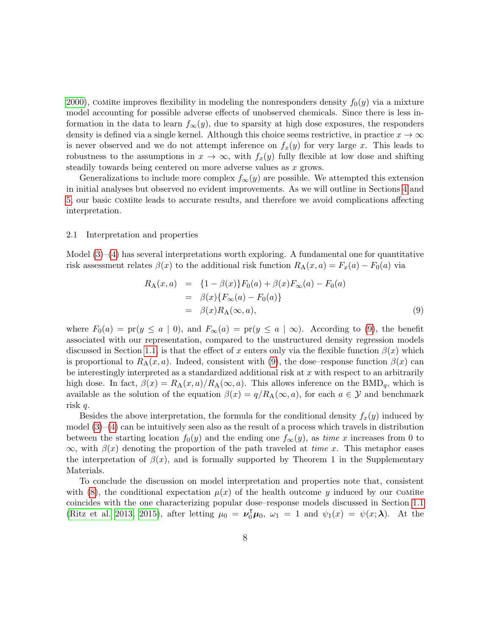[2000\)](#page-23-7), comire improves flexibility in modeling the nonresponders density  $f_0(y)$  via a mixture model accounting for possible adverse effects of unobserved chemicals. Since there is less information in the data to learn  $f_{\infty}(y)$ , due to sparsity at high dose exposures, the responders density is defined via a single kernel. Although this choice seems restrictive, in practice  $x \to \infty$ is never observed and we do not attempt inference on  $f_x(y)$  for very large x. This leads to robustness to the assumptions in  $x \to \infty$ , with  $f_x(y)$  fully flexible at low dose and shifting steadily towards being centered on more adverse values as x grows.

Generalizations to include more complex  $f_{\infty}(y)$  are possible. We attempted this extension in initial analyses but observed no evident improvements. As we will outline in Sections [4](#page-11-0) and [5,](#page-15-0) our basic comire leads to accurate results, and therefore we avoid complications affecting interpretation.

#### <span id="page-7-1"></span>2.1 Interpretation and properties

Model  $(3)-(4)$  $(3)-(4)$  $(3)-(4)$  has several interpretations worth exploring. A fundamental one for quantitative risk assessment relates  $\beta(x)$  to the additional risk function  $R_A(x, a) = F_x(a) - F_0(a)$  via

<span id="page-7-0"></span>
$$
R_{A}(x, a) = \{1 - \beta(x)\} F_{0}(a) + \beta(x) F_{\infty}(a) - F_{0}(a)
$$
  
=  $\beta(x) \{F_{\infty}(a) - F_{0}(a)\}$   
=  $\beta(x) R_{A}(\infty, a),$  (9)

where  $F_0(a) = \text{pr}(y \le a \mid 0)$ , and  $F_{\infty}(a) = \text{pr}(y \le a \mid \infty)$ . According to [\(9\)](#page-7-0), the benefit associated with our representation, compared to the unstructured density regression models discussed in Section [1.1,](#page-1-0) is that the effect of x enters only via the flexible function  $\beta(x)$  which is proportional to  $R_A(x, a)$ . Indeed, consistent with [\(9\)](#page-7-0), the dose–response function  $\beta(x)$  can be interestingly interpreted as a standardized additional risk at  $x$  with respect to an arbitrarily high dose. In fact,  $\beta(x) = R_A(x, a)/R_A(\infty, a)$ . This allows inference on the BMD<sub>q</sub>, which is available as the solution of the equation  $\beta(x) = q/R_A(\infty, a)$ , for each  $a \in \mathcal{Y}$  and benchmark risk q.

Besides the above interpretation, the formula for the conditional density  $f_x(y)$  induced by model [\(3\)](#page-5-1)–[\(4\)](#page-5-2) can be intuitively seen also as the result of a process which travels in distribution between the starting location  $f_0(y)$  and the ending one  $f_\infty(y)$ , as time x increases from 0 to  $\infty$ , with  $\beta(x)$  denoting the proportion of the path traveled at time x. This metaphor eases the interpretation of  $\beta(x)$ , and is formally supported by Theorem 1 in the Supplementary Materials.

To conclude the discussion on model interpretation and properties note that, consistent with [\(8\)](#page-6-2), the conditional expectation  $\mu(x)$  of the health outcome y induced by our COMIRE coincides with the one characterizing popular dose–response models discussed in Section [1.1](#page-1-0) [\(Ritz et al. 2013,](#page-23-3) [2015\)](#page-23-4), after letting  $\mu_0 = \nu_0^{\dagger} \mu_0$ ,  $\omega_1 = 1$  and  $\psi_1(x) = \psi(x; \lambda)$ . At the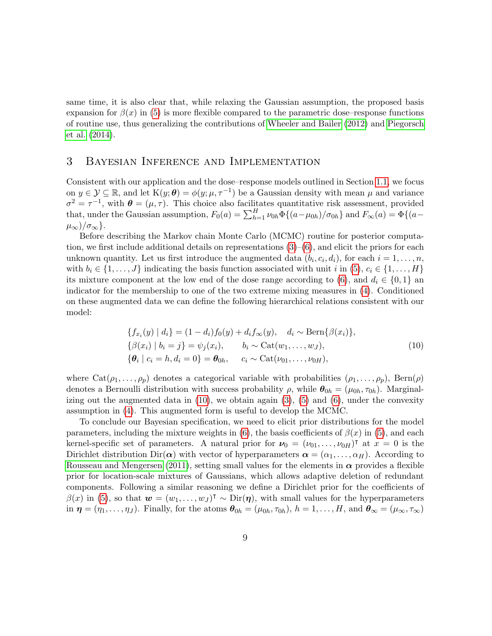same time, it is also clear that, while relaxing the Gaussian assumption, the proposed basis expansion for  $\beta(x)$  in [\(5\)](#page-5-3) is more flexible compared to the parametric dose–response functions of routine use, thus generalizing the contributions of [Wheeler and Bailer](#page-24-2) [\(2012\)](#page-24-2) and [Piegorsch](#page-23-2) [et al.](#page-23-2) [\(2014\)](#page-23-2).

# <span id="page-8-0"></span>3 Bayesian Inference and Implementation

Consistent with our application and the dose–response models outlined in Section [1.1,](#page-1-0) we focus on  $y \in \mathcal{Y} \subseteq \mathbb{R}$ , and let  $K(y; \theta) = \phi(y; \mu, \tau^{-1})$  be a Gaussian density with mean  $\mu$  and variance  $\sigma^2 = \tau^{-1}$ , with  $\theta = (\mu, \tau)$ . This choice also facilitates quantitative risk assessment, provided that, under the Gaussian assumption,  $F_0(a) = \sum_{h=1}^{H} \nu_{0h} \Phi\{(a-\mu_{0h})/\sigma_{0h}\}\$ and  $F_{\infty}(a) = \Phi\{(a-\mu_{0h})/\sigma_{0h}\}\$  $\mu_{\infty})/\sigma_{\infty}$ .

Before describing the Markov chain Monte Carlo (MCMC) routine for posterior computation, we first include additional details on representations  $(3)-(6)$  $(3)-(6)$  $(3)-(6)$ , and elicit the priors for each unknown quantity. Let us first introduce the augmented data  $(b_i, c_i, d_i)$ , for each  $i = 1, \ldots, n$ , with  $b_i \in \{1, \ldots, J\}$  indicating the basis function associated with unit i in [\(5\)](#page-5-3),  $c_i \in \{1, \ldots, H\}$ its mixture component at the low end of the dose range according to [\(6\)](#page-6-1), and  $d_i \in \{0,1\}$  and indicator for the membership to one of the two extreme mixing measures in [\(4\)](#page-5-2). Conditioned on these augmented data we can define the following hierarchical relations consistent with our model:

<span id="page-8-1"></span>
$$
\{f_{x_i}(y) | d_i\} = (1 - d_i)f_0(y) + d_i f_\infty(y), \quad d_i \sim \text{Bern}\{\beta(x_i)\}, \{\beta(x_i) | b_i = j\} = \psi_j(x_i), \quad b_i \sim \text{Cat}(w_1, \dots, w_J), \{\boldsymbol{\theta}_i | c_i = h, d_i = 0\} = \boldsymbol{\theta}_{0h}, \quad c_i \sim \text{Cat}(\nu_{01}, \dots, \nu_{0H}),
$$
\n(10)

where  $\text{Cat}(\rho_1, \ldots, \rho_p)$  denotes a categorical variable with probabilities  $(\rho_1, \ldots, \rho_p)$ , Bern $(\rho)$ denotes a Bernoulli distribution with success probability  $\rho$ , while  $\theta_{0h} = (\mu_{0h}, \tau_{0h})$ . Marginalizing out the augmented data in  $(10)$ , we obtain again  $(3)$ ,  $(5)$  and  $(6)$ , under the convexity assumption in [\(4\)](#page-5-2). This augmented form is useful to develop the MCMC.

To conclude our Bayesian specification, we need to elicit prior distributions for the model parameters, including the mixture weights in [\(6\)](#page-6-1), the basis coefficients of  $\beta(x)$  in [\(5\)](#page-5-3), and each kernel-specific set of parameters. A natural prior for  $\nu_0 = (\nu_{01}, \dots, \nu_{0H})^{\dagger}$  at  $x = 0$  is the Dirichlet distribution  $Dir(\boldsymbol{\alpha})$  with vector of hyperparameters  $\boldsymbol{\alpha} = (\alpha_1, \dots, \alpha_H)$ . According to [Rousseau and Mengersen](#page-24-3) [\(2011\)](#page-24-3), setting small values for the elements in  $\alpha$  provides a flexible prior for location-scale mixtures of Gaussians, which allows adaptive deletion of redundant components. Following a similar reasoning we define a Dirichlet prior for the coefficients of  $\beta(x)$  in [\(5\)](#page-5-3), so that  $\mathbf{w} = (w_1, \ldots, w_J)^\intercal \sim \text{Dir}(\boldsymbol{\eta})$ , with small values for the hyperparameters in  $\eta = (\eta_1, \ldots, \eta_J)$ . Finally, for the atoms  $\theta_{0h} = (\mu_{0h}, \tau_{0h}), h = 1, \ldots, H$ , and  $\theta_{\infty} = (\mu_{\infty}, \tau_{\infty})$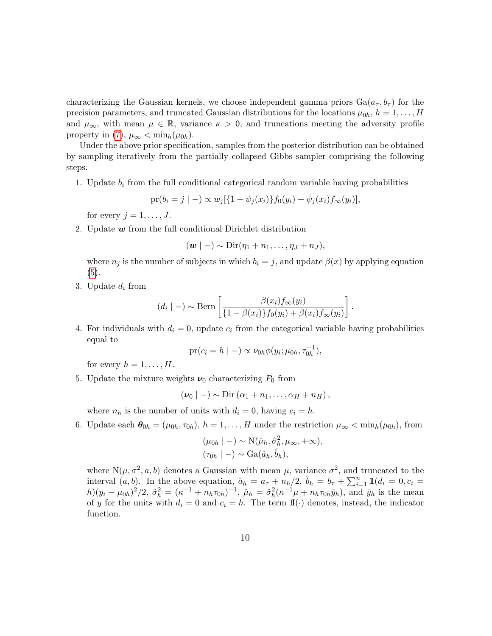characterizing the Gaussian kernels, we choose independent gamma priors  $Ga(a_{\tau}, b_{\tau})$  for the precision parameters, and truncated Gaussian distributions for the locations  $\mu_{0h}$ ,  $h = 1, \ldots, H$ and  $\mu_{\infty}$ , with mean  $\mu \in \mathbb{R}$ , variance  $\kappa > 0$ , and truncations meeting the adversity profile property in [\(7\)](#page-6-0),  $\mu_{\infty} < \min_h(\mu_{0h})$ .

Under the above prior specification, samples from the posterior distribution can be obtained by sampling iteratively from the partially collapsed Gibbs sampler comprising the following steps.

1. Update  $b_i$  from the full conditional categorical random variable having probabilities

$$
\text{pr}(b_i = j \mid -) \propto w_j[\{1 - \psi_j(x_i)\} f_0(y_i) + \psi_j(x_i) f_{\infty}(y_i)],
$$

for every  $j = 1, \ldots, J$ .

2. Update  $w$  from the full conditional Dirichlet distribution

$$
(\boldsymbol{w} \mid -) \sim \text{Dir}(\eta_1 + n_1, \ldots, \eta_J + n_J),
$$

where  $n_j$  is the number of subjects in which  $b_i = j$ , and update  $\beta(x)$  by applying equation [\(5\)](#page-5-3).

3. Update  $d_i$  from

$$
(d_i \mid -) \sim \text{Bern}\left[\frac{\beta(x_i)f_{\infty}(y_i)}{\{1 - \beta(x_i)\}f_0(y_i) + \beta(x_i)f_{\infty}(y_i)}\right].
$$

4. For individuals with  $d_i = 0$ , update  $c_i$  from the categorical variable having probabilities equal to

$$
pr(c_i = h | -) \propto \nu_{0h} \phi(y_i; \mu_{0h}, \tau_{0h}^{-1}),
$$

for every  $h = 1, \ldots, H$ .

5. Update the mixture weights  $\nu_0$  characterizing  $P_0$  from

$$
(\nu_0 | -) \sim \mathrm{Dir}(\alpha_1 + n_1, \ldots, \alpha_H + n_H),
$$

where  $n_h$  is the number of units with  $d_i = 0$ , having  $c_i = h$ .

6. Update each  $\boldsymbol{\theta}_{0h} = (\mu_{0h}, \tau_{0h}), h = 1, \ldots, H$  under the restriction  $\mu_{\infty} < \min_h(\mu_{0h}),$  from

$$
(\mu_{0h} \mid -) \sim \mathcal{N}(\hat{\mu}_h, \hat{\sigma}_h^2, \mu_\infty, +\infty),
$$
  

$$
(\tau_{0h} \mid -) \sim \text{Ga}(\hat{a}_h, \hat{b}_h),
$$

where  $N(\mu, \sigma^2, a, b)$  denotes a Gaussian with mean  $\mu$ , variance  $\sigma^2$ , and truncated to the interval  $(a, b)$ . In the above equation,  $\hat{a}_h = a_{\tau} + n_h/2$ ,  $\hat{b}_h = b_{\tau} + \sum_{i=1}^n \mathbb{I}(d_i = 0, c_i =$  $h)(y_i - \mu_{0h})^2/2$ ,  $\hat{\sigma}_h^2 = (\kappa^{-1} + n_h \tau_{0h})^{-1}$ ,  $\hat{\mu}_h = \hat{\sigma}_h^2 (\kappa^{-1} \mu + n_h \tau_{0h} \bar{y}_h)$ , and  $\bar{y}_h$  is the mean of y for the units with  $d_i = 0$  and  $c_i = h$ . The term  $\mathbb{I}(\cdot)$  denotes, instead, the indicator function.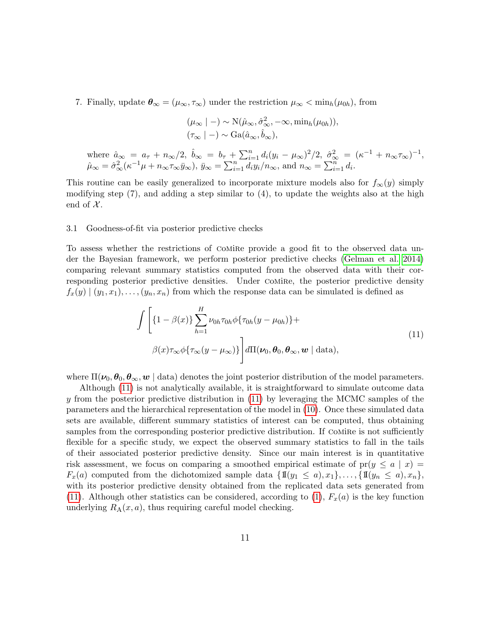7. Finally, update  $\theta_{\infty} = (\mu_{\infty}, \tau_{\infty})$  under the restriction  $\mu_{\infty} < \min_h(\mu_{0h})$ , from

$$
(\mu_{\infty} \mid -) \sim \mathrm{N}(\hat{\mu}_{\infty}, \hat{\sigma}_{\infty}^2, -\infty, \min_h(\mu_{0h})),
$$
  

$$
(\tau_{\infty} \mid -) \sim \mathrm{Ga}(\hat{a}_{\infty}, \hat{b}_{\infty}),
$$

where  $\hat{a}_{\infty} = a_{\tau} + n_{\infty}/2$ ,  $\hat{b}_{\infty} = b_{\tau} + \sum_{i=1}^{n} d_i (y_i - \mu_{\infty})^2 / 2$ ,  $\hat{\sigma}_{\infty}^2 = (\kappa^{-1} + n_{\infty} \tau_{\infty})^{-1}$ ,  $\hat{\mu}_{\infty} = \hat{\sigma}_{\infty}^2 (\kappa^{-1} \mu + n_{\infty} \tau_{\infty} \bar{y}_{\infty}), \ \bar{y}_{\infty} = \sum_{i=1}^n d_i y_i / n_{\infty}, \text{ and } n_{\infty} = \sum_{i=1}^n d_i.$ 

This routine can be easily generalized to incorporate mixture models also for  $f_{\infty}(y)$  simply modifying step (7), and adding a step similar to (4), to update the weights also at the high end of  $\mathcal{X}$ .

#### <span id="page-10-1"></span>3.1 Goodness-of-fit via posterior predictive checks

To assess whether the restrictions of comire provide a good fit to the observed data under the Bayesian framework, we perform posterior predictive checks [\(Gelman et al. 2014\)](#page-22-6) comparing relevant summary statistics computed from the observed data with their corresponding posterior predictive densities. Under COMIRE, the posterior predictive density  $f_x(y) \mid (y_1, x_1), \ldots, (y_n, x_n)$  from which the response data can be simulated is defined as

<span id="page-10-0"></span>
$$
\int \left[ \{1 - \beta(x)\} \sum_{h=1}^{H} \nu_{0h} \tau_{0h} \phi \{\tau_{0h}(y - \mu_{0h})\} + \beta(x) \tau_{\infty} \phi \{\tau_{\infty}(y - \mu_{\infty})\} \right] d\Pi(\nu_{0}, \theta_{0}, \theta_{\infty}, \mathbf{w} \mid \text{data}),
$$
\n(11)

where  $\Pi(\nu_0, \theta_0, \theta_\infty, w \mid \text{data})$  denotes the joint posterior distribution of the model parameters.

Although [\(11\)](#page-10-0) is not analytically available, it is straightforward to simulate outcome data y from the posterior predictive distribution in [\(11\)](#page-10-0) by leveraging the MCMC samples of the parameters and the hierarchical representation of the model in [\(10\)](#page-8-1). Once these simulated data sets are available, different summary statistics of interest can be computed, thus obtaining samples from the corresponding posterior predictive distribution. If Comire is not sufficiently flexible for a specific study, we expect the observed summary statistics to fall in the tails of their associated posterior predictive density. Since our main interest is in quantitative risk assessment, we focus on comparing a smoothed empirical estimate of  $pr(y \leq a \mid x)$  $F_x(a)$  computed from the dichotomized sample data  $\{\mathbb{I}\{(y_1 \leq a), x_1\}, \ldots, \{\mathbb{I}\{(y_n \leq a), x_n\},\}$ with its posterior predictive density obtained from the replicated data sets generated from [\(11\)](#page-10-0). Although other statistics can be considered, according to [\(1\)](#page-3-0),  $F_x(a)$  is the key function underlying  $R_A(x, a)$ , thus requiring careful model checking.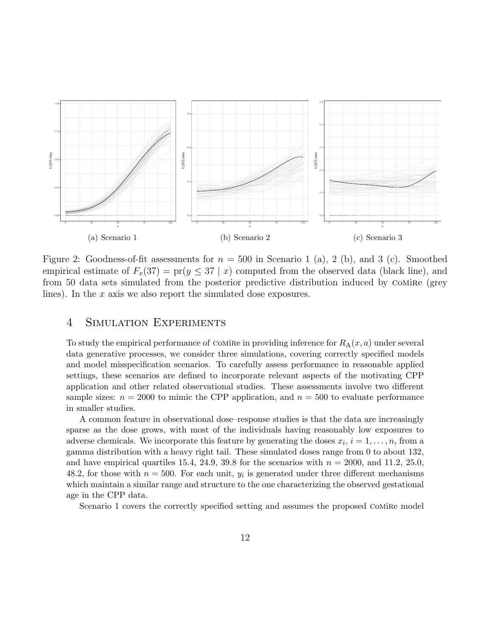<span id="page-11-1"></span>

Figure 2: Goodness-of-fit assessments for  $n = 500$  in Scenario 1 (a), 2 (b), and 3 (c). Smoothed empirical estimate of  $F_x(37) = \text{pr}(y \leq 37 | x)$  computed from the observed data (black line), and from 50 data sets simulated from the posterior predictive distribution induced by Comire (grey lines). In the  $x$  axis we also report the simulated dose exposures.

## <span id="page-11-0"></span>4 Simulation Experiments

To study the empirical performance of COMIRE in providing inference for  $R_{\rm A}(x, a)$  under several data generative processes, we consider three simulations, covering correctly specified models and model misspecification scenarios. To carefully assess performance in reasonable applied settings, these scenarios are defined to incorporate relevant aspects of the motivating CPP application and other related observational studies. These assessments involve two different sample sizes:  $n = 2000$  to mimic the CPP application, and  $n = 500$  to evaluate performance in smaller studies.

A common feature in observational dose–response studies is that the data are increasingly sparse as the dose grows, with most of the individuals having reasonably low exposures to adverse chemicals. We incorporate this feature by generating the doses  $x_i$ ,  $i = 1, \ldots, n$ , from a gamma distribution with a heavy right tail. These simulated doses range from 0 to about 132, and have empirical quartiles 15.4, 24.9, 39.8 for the scenarios with  $n = 2000$ , and 11.2, 25.0, 48.2, for those with  $n = 500$ . For each unit,  $y_i$  is generated under three different mechanisms which maintain a similar range and structure to the one characterizing the observed gestational age in the CPP data.

Scenario 1 covers the correctly specified setting and assumes the proposed COMIRE model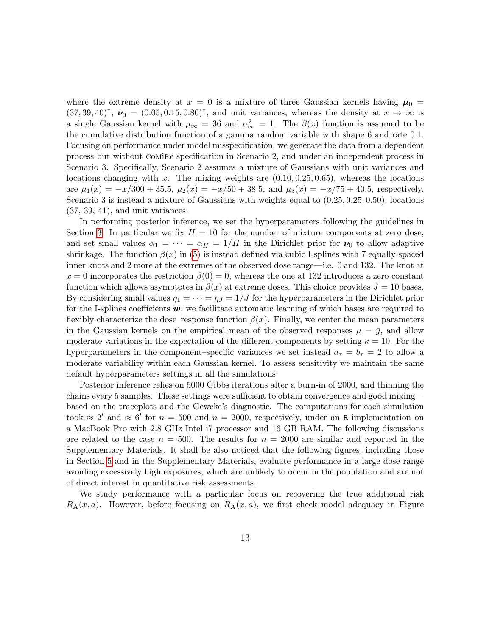where the extreme density at  $x = 0$  is a mixture of three Gaussian kernels having  $\mu_0 =$  $(37, 39, 40)$ <sup>T</sup>,  $\nu_0 = (0.05, 0.15, 0.80)$ <sup>T</sup>, and unit variances, whereas the density at  $x \to \infty$  is a single Gaussian kernel with  $\mu_{\infty} = 36$  and  $\sigma_{\infty}^2 = 1$ . The  $\beta(x)$  function is assumed to be the cumulative distribution function of a gamma random variable with shape 6 and rate 0.1. Focusing on performance under model misspecification, we generate the data from a dependent process but without comire specification in Scenario 2, and under an independent process in Scenario 3. Specifically, Scenario 2 assumes a mixture of Gaussians with unit variances and locations changing with x. The mixing weights are  $(0.10, 0.25, 0.65)$ , whereas the locations are  $\mu_1(x) = -x/300 + 35.5$ ,  $\mu_2(x) = -x/50 + 38.5$ , and  $\mu_3(x) = -x/75 + 40.5$ , respectively. Scenario 3 is instead a mixture of Gaussians with weights equal to (0.25, 0.25, 0.50), locations (37, 39, 41), and unit variances.

In performing posterior inference, we set the hyperparameters following the guidelines in Section [3.](#page-8-0) In particular we fix  $H = 10$  for the number of mixture components at zero dose, and set small values  $\alpha_1 = \cdots = \alpha_H = 1/H$  in the Dirichlet prior for  $\nu_0$  to allow adaptive shrinkage. The function  $\beta(x)$  in [\(5\)](#page-5-3) is instead defined via cubic I-splines with 7 equally-spaced inner knots and 2 more at the extremes of the observed dose range—i.e. 0 and 132. The knot at  $x = 0$  incorporates the restriction  $\beta(0) = 0$ , whereas the one at 132 introduces a zero constant function which allows asymptotes in  $\beta(x)$  at extreme doses. This choice provides  $J = 10$  bases. By considering small values  $\eta_1 = \cdots = \eta_J = 1/J$  for the hyperparameters in the Dirichlet prior for the I-splines coefficients  $w$ , we facilitate automatic learning of which bases are required to flexibly characterize the dose–response function  $\beta(x)$ . Finally, we center the mean parameters in the Gaussian kernels on the empirical mean of the observed responses  $\mu = \bar{y}$ , and allow moderate variations in the expectation of the different components by setting  $\kappa = 10$ . For the hyperparameters in the component–specific variances we set instead  $a_{\tau} = b_{\tau} = 2$  to allow a moderate variability within each Gaussian kernel. To assess sensitivity we maintain the same default hyperparameters settings in all the simulations.

Posterior inference relies on 5000 Gibbs iterations after a burn-in of 2000, and thinning the chains every 5 samples. These settings were sufficient to obtain convergence and good mixing based on the traceplots and the Geweke's diagnostic. The computations for each simulation took  $\approx 2'$  and  $\approx 6'$  for  $n = 500$  and  $n = 2000$ , respectively, under an R implementation on a MacBook Pro with 2.8 GHz Intel i7 processor and 16 GB RAM. The following discussions are related to the case  $n = 500$ . The results for  $n = 2000$  are similar and reported in the Supplementary Materials. It shall be also noticed that the following figures, including those in Section [5](#page-15-0) and in the Supplementary Materials, evaluate performance in a large dose range avoiding excessively high exposures, which are unlikely to occur in the population and are not of direct interest in quantitative risk assessments.

We study performance with a particular focus on recovering the true additional risk  $R_A(x, a)$ . However, before focusing on  $R_A(x, a)$ , we first check model adequacy in Figure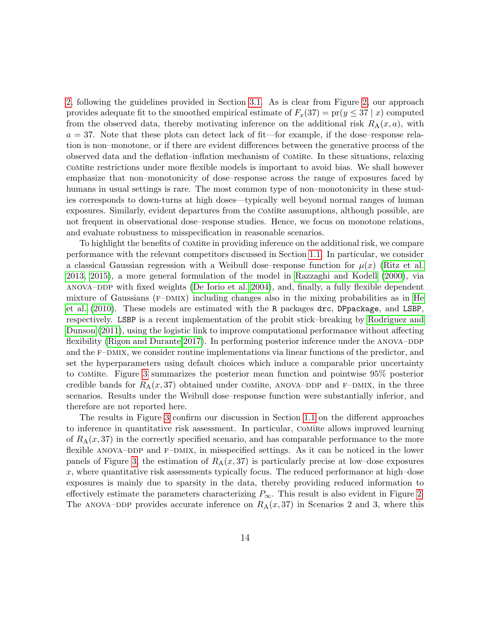[2,](#page-11-1) following the guidelines provided in Section [3.1.](#page-10-1) As is clear from Figure [2,](#page-11-1) our approach provides adequate fit to the smoothed empirical estimate of  $F_x(37) = \text{pr}(y \leq 37 | x)$  computed from the observed data, thereby motivating inference on the additional risk  $R_A(x, a)$ , with  $a = 37$ . Note that these plots can detect lack of fit—for example, if the dose–response relation is non–monotone, or if there are evident differences between the generative process of the observed data and the deflation–inflation mechanism of comire. In these situations, relaxing comire restrictions under more flexible models is important to avoid bias. We shall however emphasize that non–monotonicity of dose–response across the range of exposures faced by humans in usual settings is rare. The most common type of non–monotonicity in these studies corresponds to down-turns at high doses—typically well beyond normal ranges of human exposures. Similarly, evident departures from the comire assumptions, although possible, are not frequent in observational dose–response studies. Hence, we focus on monotone relations, and evaluate robustness to misspecification in reasonable scenarios.

To highlight the benefits of comire in providing inference on the additional risk, we compare performance with the relevant competitors discussed in Section [1.1.](#page-1-0) In particular, we consider a classical Gaussian regression with a Weibull dose–response function for  $\mu(x)$  [\(Ritz et al.](#page-23-3) [2013,](#page-23-3) [2015\)](#page-23-4), a more general formulation of the model in [Razzaghi and Kodell](#page-23-7) [\(2000\)](#page-23-7), via ANOVA–DDP with fixed weights [\(De Iorio et al. 2004\)](#page-22-4), and, finally, a fully flexible dependent mixture of Gaussians  $(F-MIX)$  including changes also in the mixing probabilities as in [He](#page-22-2) [et al.](#page-22-2) [\(2010\)](#page-22-2). These models are estimated with the R packages drc, DPpackage, and LSBP, respectively. LSBP is a recent implementation of the probit stick–breaking by [Rodriguez and](#page-23-9) [Dunson](#page-23-9) [\(2011\)](#page-23-9), using the logistic link to improve computational performance without affecting flexibility [\(Rigon and Durante 2017\)](#page-23-11). In performing posterior inference under the ANOVA–DDP and the F–DMIX, we consider routine implementations via linear functions of the predictor, and set the hyperparameters using default choices which induce a comparable prior uncertainty to comire. Figure [3](#page-14-0) summarizes the posterior mean function and pointwise 95% posterior credible bands for  $R_A(x, 37)$  obtained under COMIRE, ANOVA–DDP and F–DMIX, in the three scenarios. Results under the Weibull dose–response function were substantially inferior, and therefore are not reported here.

The results in Figure [3](#page-14-0) confirm our discussion in Section [1.1](#page-1-0) on the different approaches to inference in quantitative risk assessment. In particular, comire allows improved learning of  $R_A(x, 37)$  in the correctly specified scenario, and has comparable performance to the more flexible ANOVA–DDP and F–DMIX, in misspecified settings. As it can be noticed in the lower panels of Figure [3,](#page-14-0) the estimation of  $R_A(x, 37)$  is particularly precise at low–dose exposures  $x$ , where quantitative risk assessments typically focus. The reduced performance at high–dose exposures is mainly due to sparsity in the data, thereby providing reduced information to effectively estimate the parameters characterizing  $P_{\infty}$ . This result is also evident in Figure [2.](#page-11-1) The ANOVA–DDP provides accurate inference on  $R_A(x, 37)$  in Scenarios 2 and 3, where this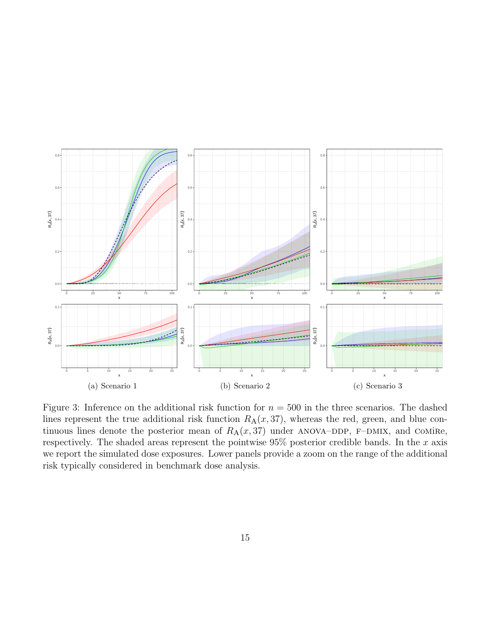<span id="page-14-0"></span>

Figure 3: Inference on the additional risk function for  $n = 500$  in the three scenarios. The dashed lines represent the true additional risk function  $R_A(x, 37)$ , whereas the red, green, and blue continuous lines denote the posterior mean of  $R_A(x, 37)$  under ANOVA–DDP, F–DMIX, and COMIRe, respectively. The shaded areas represent the pointwise  $95\%$  posterior credible bands. In the x axis we report the simulated dose exposures. Lower panels provide a zoom on the range of the additional risk typically considered in benchmark dose analysis.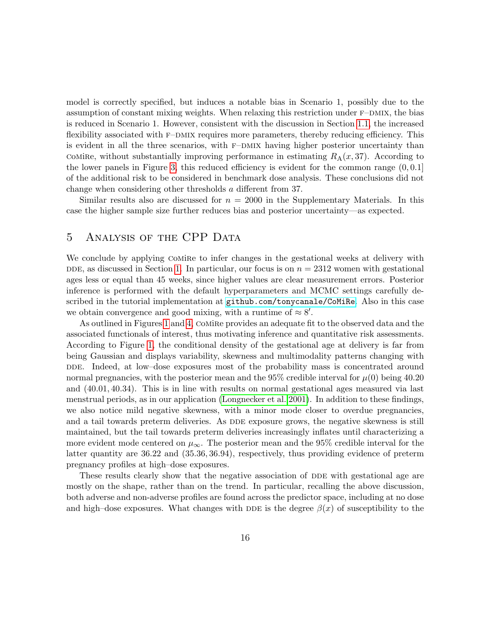model is correctly specified, but induces a notable bias in Scenario 1, possibly due to the assumption of constant mixing weights. When relaxing this restriction under  $F$ –DMIX, the bias is reduced in Scenario 1. However, consistent with the discussion in Section [1.1,](#page-1-0) the increased flexibility associated with F–DMIX requires more parameters, thereby reducing efficiency. This is evident in all the three scenarios, with  $F$ –DMIX having higher posterior uncertainty than comire, without substantially improving performance in estimating  $R_A(x, 37)$ . According to the lower panels in Figure [3,](#page-14-0) this reduced efficiency is evident for the common range  $(0, 0.1]$ of the additional risk to be considered in benchmark dose analysis. These conclusions did not change when considering other thresholds a different from 37.

Similar results also are discussed for  $n = 2000$  in the Supplementary Materials. In this case the higher sample size further reduces bias and posterior uncertainty—as expected.

# <span id="page-15-0"></span>5 Analysis of the CPP Data

We conclude by applying Comire to infer changes in the gestational weeks at delivery with DDE, as discussed in Section [1.](#page-1-1) In particular, our focus is on  $n = 2312$  women with gestational ages less or equal than 45 weeks, since higher values are clear measurement errors. Posterior inference is performed with the default hyperparameters and MCMC settings carefully described in the tutorial implementation at <github.com/tonycanale/CoMiRe>. Also in this case we obtain convergence and good mixing, with a runtime of  $\approx 8'$ .

As outlined in Figures [1](#page-2-0) and [4,](#page-16-0) COMIRE provides an adequate fit to the observed data and the associated functionals of interest, thus motivating inference and quantitative risk assessments. According to Figure [1,](#page-2-0) the conditional density of the gestational age at delivery is far from being Gaussian and displays variability, skewness and multimodality patterns changing with DDE. Indeed, at low–dose exposures most of the probability mass is concentrated around normal pregnancies, with the posterior mean and the 95% credible interval for  $\mu(0)$  being 40.20 and (40.01, 40.34). This is in line with results on normal gestational ages measured via last menstrual periods, as in our application [\(Longnecker et al. 2001\)](#page-23-1). In addition to these findings, we also notice mild negative skewness, with a minor mode closer to overdue pregnancies, and a tail towards preterm deliveries. As DDE exposure grows, the negative skewness is still maintained, but the tail towards preterm deliveries increasingly inflates until characterizing a more evident mode centered on  $\mu_{\infty}$ . The posterior mean and the 95% credible interval for the latter quantity are 36.22 and (35.36, 36.94), respectively, thus providing evidence of preterm pregnancy profiles at high–dose exposures.

These results clearly show that the negative association of DDE with gestational age are mostly on the shape, rather than on the trend. In particular, recalling the above discussion, both adverse and non-adverse profiles are found across the predictor space, including at no dose and high–dose exposures. What changes with DDE is the degree  $\beta(x)$  of susceptibility to the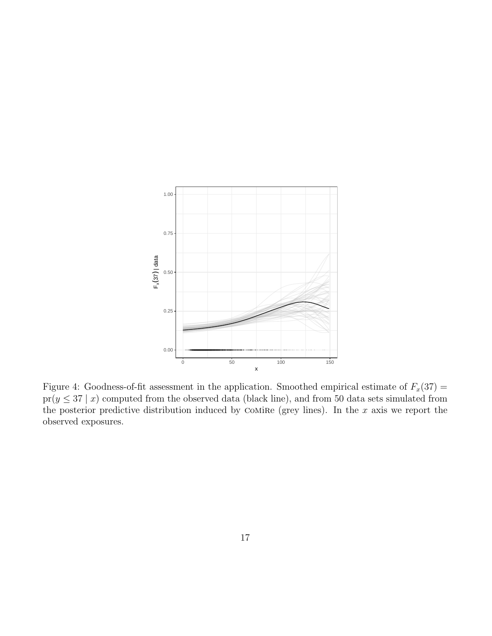<span id="page-16-0"></span>

Figure 4: Goodness-of-fit assessment in the application. Smoothed empirical estimate of  $F_x(37)$  =  $pr(y \leq 37 | x)$  computed from the observed data (black line), and from 50 data sets simulated from the posterior predictive distribution induced by COMiRe (grey lines). In the  $x$  axis we report the observed exposures.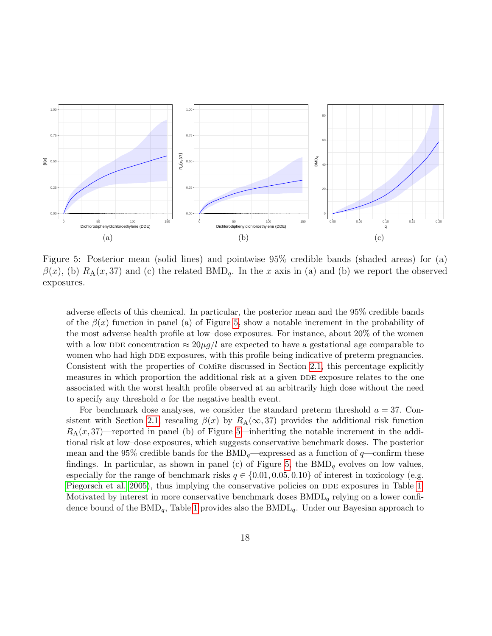<span id="page-17-0"></span>

Figure 5: Posterior mean (solid lines) and pointwise 95% credible bands (shaded areas) for (a)  $\beta(x)$ , (b)  $R_A(x, 37)$  and (c) the related BMD<sub>q</sub>. In the x axis in (a) and (b) we report the observed exposures.

adverse effects of this chemical. In particular, the posterior mean and the 95% credible bands of the  $\beta(x)$  function in panel (a) of Figure [5,](#page-17-0) show a notable increment in the probability of the most adverse health profile at low–dose exposures. For instance, about 20% of the women with a low DDE concentration  $\approx 20\mu g/l$  are expected to have a gestational age comparable to women who had high DDE exposures, with this profile being indicative of preterm pregnancies. Consistent with the properties of comire discussed in Section [2.1,](#page-7-1) this percentage explicitly measures in which proportion the additional risk at a given DDE exposure relates to the one associated with the worst health profile observed at an arbitrarily high dose without the need to specify any threshold a for the negative health event.

For benchmark dose analyses, we consider the standard preterm threshold  $a = 37$ . Con-sistent with Section [2.1,](#page-7-1) rescaling  $\beta(x)$  by  $R_A(\infty, 37)$  provides the additional risk function  $R_A(x, 37)$ —reported in panel (b) of Figure [5—](#page-17-0)inheriting the notable increment in the additional risk at low–dose exposures, which suggests conservative benchmark doses. The posterior mean and the 95% credible bands for the  $BMD_q$ —expressed as a function of  $q$ —confirm these findings. In particular, as shown in panel (c) of Figure [5,](#page-17-0) the  $BMD<sub>q</sub>$  evolves on low values, especially for the range of benchmark risks  $q \in \{0.01, 0.05, 0.10\}$  of interest in toxicology (e.g. [Piegorsch et al. 2005\)](#page-23-6), thus implying the conservative policies on DDE exposures in Table [1.](#page-18-1) Motivated by interest in more conservative benchmark doses  $BMDL_q$  relying on a lower confidence bound of the  $BMD_q$ , Table [1](#page-18-1) provides also the  $BMDL_q$ . Under our Bayesian approach to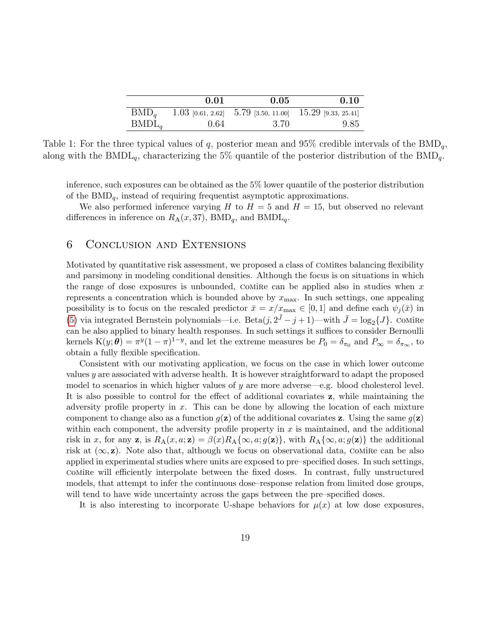|          | 0.01 | 0.05   | 0.10                                                         |
|----------|------|--------|--------------------------------------------------------------|
| $BMD_a$  |      |        | 1.03 [0.61, 2.62] $5.79$ [3.50, 11.00] $15.29$ [9.33, 25.41] |
| $BMDL_a$ | 0.64 | - 3.70 | 9.85                                                         |

<span id="page-18-1"></span>Table 1: For the three typical values of  $q$ , posterior mean and 95% credible intervals of the BMD<sub>q</sub>, along with the BMDL<sub>q</sub>, characterizing the 5% quantile of the posterior distribution of the BMD<sub>q</sub>.

inference, such exposures can be obtained as the 5% lower quantile of the posterior distribution of the  $BMD_{q}$ , instead of requiring frequentist asymptotic approximations.

We also performed inference varying H to  $H = 5$  and  $H = 15$ , but observed no relevant differences in inference on  $R_A(x, 37)$ , BMD<sub>q</sub>, and BMDL<sub>q</sub>.

# <span id="page-18-0"></span>6 Conclusion and Extensions

Motivated by quantitative risk assessment, we proposed a class of comires balancing flexibility and parsimony in modeling conditional densities. Although the focus is on situations in which the range of dose exposures is unbounded, COMIRE can be applied also in studies when  $x$ represents a concentration which is bounded above by  $x_{\text{max}}$ . In such settings, one appealing possibility is to focus on the rescaled predictor  $\bar{x} = x/x_{\text{max}} \in [0,1]$  and define each  $\psi_j(\bar{x})$  in [\(5\)](#page-5-3) via integrated Bernstein polynomials—i.e.  $Beta(j, 2^{\bar{J}} - j + 1)$ —with  $\bar{J} = \log_2{J}$ . Comire can be also applied to binary health responses. In such settings it suffices to consider Bernoulli kernels  $K(y; \theta) = \pi^{y} (1-\pi)^{1-y}$ , and let the extreme measures be  $P_0 = \delta_{\pi_0}$  and  $P_{\infty} = \delta_{\pi_{\infty}}$ , to obtain a fully flexible specification.

Consistent with our motivating application, we focus on the case in which lower outcome values  $y$  are associated with adverse health. It is however straightforward to adapt the proposed model to scenarios in which higher values of  $y$  are more adverse—e.g. blood cholesterol level. It is also possible to control for the effect of additional covariates z, while maintaining the adversity profile property in x. This can be done by allowing the location of each mixture component to change also as a function  $g(z)$  of the additional covariates z. Using the same  $g(z)$ within each component, the adversity profile property in  $x$  is maintained, and the additional risk in x, for any z, is  $R_A(x, a; z) = \beta(x)R_A\{\infty, a; g(z)\}\)$ , with  $R_A\{\infty, a; g(z)\}\)$  the additional risk at  $(\infty, \mathbf{z})$ . Note also that, although we focus on observational data, COMiRe can be also applied in experimental studies where units are exposed to pre–specified doses. In such settings, comire will efficiently interpolate between the fixed doses. In contrast, fully unstructured models, that attempt to infer the continuous dose–response relation from limited dose groups, will tend to have wide uncertainty across the gaps between the pre–specified doses.

It is also interesting to incorporate U-shape behaviors for  $\mu(x)$  at low dose exposures,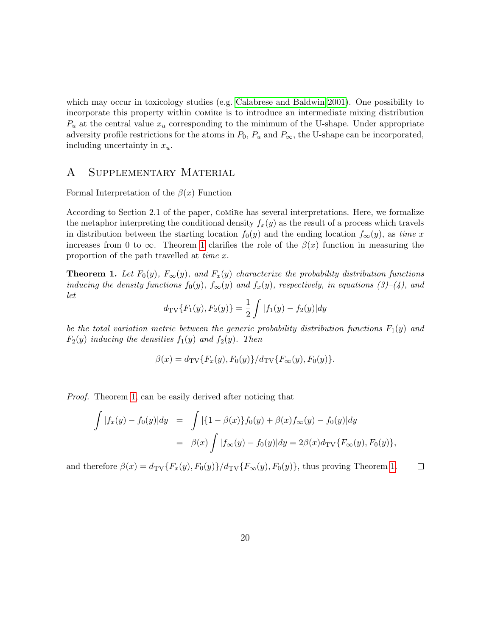which may occur in toxicology studies (e.g. [Calabrese and Baldwin 2001\)](#page-22-7). One possibility to incorporate this property within COMIRE is to introduce an intermediate mixing distribution  $P_u$  at the central value  $x_u$  corresponding to the minimum of the U-shape. Under appropriate adversity profile restrictions for the atoms in  $P_0$ ,  $P_u$  and  $P_{\infty}$ , the U-shape can be incorporated, including uncertainty in  $x_u$ .

## A Supplementary Material

Formal Interpretation of the  $\beta(x)$  Function

According to Section 2.1 of the paper, COMIRE has several interpretations. Here, we formalize the metaphor interpreting the conditional density  $f_x(y)$  as the result of a process which travels in distribution between the starting location  $f_0(y)$  and the ending location  $f_\infty(y)$ , as time x increases from 0 to  $\infty$ . Theorem [1](#page-19-0) clarifies the role of the  $\beta(x)$  function in measuring the proportion of the path travelled at time x.

<span id="page-19-0"></span>**Theorem 1.** Let  $F_0(y)$ ,  $F_\infty(y)$ , and  $F_x(y)$  characterize the probability distribution functions inducing the density functions  $f_0(y)$ ,  $f_\infty(y)$  and  $f_x(y)$ , respectively, in equations (3)–(4), and let

$$
d_{\text{TV}}\{F_1(y), F_2(y)\} = \frac{1}{2} \int |f_1(y) - f_2(y)| dy
$$

be the total variation metric between the generic probability distribution functions  $F_1(y)$  and  $F_2(y)$  inducing the densities  $f_1(y)$  and  $f_2(y)$ . Then

$$
\beta(x) = d_{\text{TV}}\{F_x(y), F_0(y)\} / d_{\text{TV}}\{F_\infty(y), F_0(y)\}.
$$

Proof. Theorem [1,](#page-19-0) can be easily derived after noticing that

$$
\int |f_x(y) - f_0(y)| dy = \int |\{1 - \beta(x)\} f_0(y) + \beta(x) f_{\infty}(y) - f_0(y)| dy
$$
  
=  $\beta(x) \int |f_{\infty}(y) - f_0(y)| dy = 2\beta(x) d_{\text{TV}} \{F_{\infty}(y), F_0(y)\},$ 

and therefore  $\beta(x) = d_{TV} \{F_x(y), F_0(y)\} / d_{TV} \{F_\infty(y), F_0(y)\}$ , thus proving Theorem [1.](#page-19-0)  $\Box$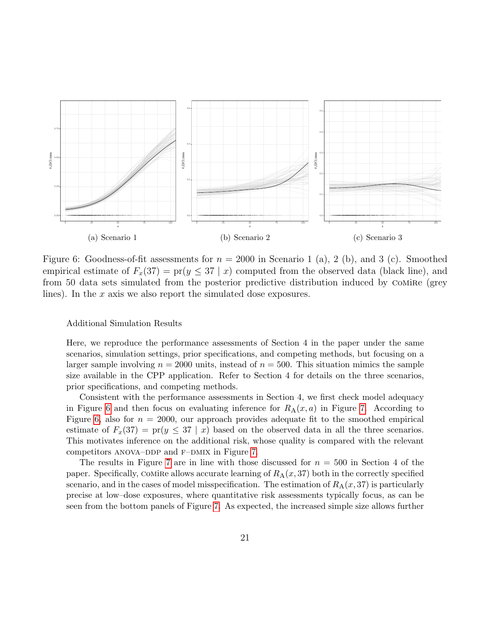<span id="page-20-0"></span>

Figure 6: Goodness-of-fit assessments for  $n = 2000$  in Scenario 1 (a), 2 (b), and 3 (c). Smoothed empirical estimate of  $F_x(37) = \text{pr}(y \leq 37 | x)$  computed from the observed data (black line), and from 50 data sets simulated from the posterior predictive distribution induced by Comire (grey lines). In the  $x$  axis we also report the simulated dose exposures.

#### Additional Simulation Results

Here, we reproduce the performance assessments of Section 4 in the paper under the same scenarios, simulation settings, prior specifications, and competing methods, but focusing on a larger sample involving  $n = 2000$  units, instead of  $n = 500$ . This situation mimics the sample size available in the CPP application. Refer to Section 4 for details on the three scenarios, prior specifications, and competing methods.

Consistent with the performance assessments in Section 4, we first check model adequacy in Figure [6](#page-20-0) and then focus on evaluating inference for  $R_A(x, a)$  in Figure [7.](#page-21-0) According to Figure [6,](#page-20-0) also for  $n = 2000$ , our approach provides adequate fit to the smoothed empirical estimate of  $F_x(37) = \text{pr}(y \leq 37 \mid x)$  based on the observed data in all the three scenarios. This motivates inference on the additional risk, whose quality is compared with the relevant competitors ANOVA–DDP and  $F$ –DMIX in Figure [7.](#page-21-0)

The results in Figure [7](#page-21-0) are in line with those discussed for  $n = 500$  in Section 4 of the paper. Specifically, COMIRE allows accurate learning of  $R_A(x, 37)$  both in the correctly specified scenario, and in the cases of model misspecification. The estimation of  $R_A(x, 37)$  is particularly precise at low–dose exposures, where quantitative risk assessments typically focus, as can be seen from the bottom panels of Figure [7.](#page-21-0) As expected, the increased simple size allows further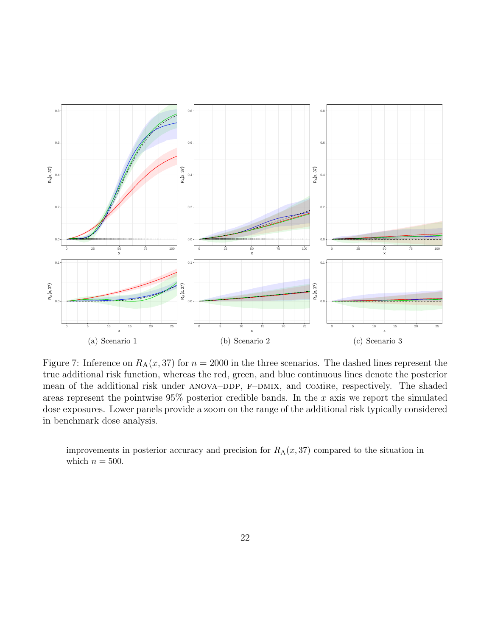<span id="page-21-0"></span>

Figure 7: Inference on  $R_A(x, 37)$  for  $n = 2000$  in the three scenarios. The dashed lines represent the true additional risk function, whereas the red, green, and blue continuous lines denote the posterior mean of the additional risk under ANOVA-DDP, F-DMIX, and COMIRe, respectively. The shaded areas represent the pointwise  $95\%$  posterior credible bands. In the x axis we report the simulated dose exposures. Lower panels provide a zoom on the range of the additional risk typically considered in benchmark dose analysis.

improvements in posterior accuracy and precision for  $R_A(x, 37)$  compared to the situation in which  $n = 500$ .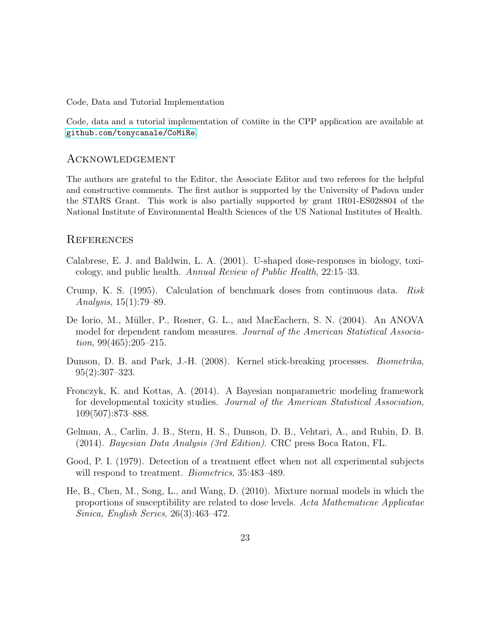Code, Data and Tutorial Implementation

Code, data and a tutorial implementation of comire in the CPP application are available at <github.com/tonycanale/CoMiRe>.

## Acknowledgement

The authors are grateful to the Editor, the Associate Editor and two referees for the helpful and constructive comments. The first author is supported by the University of Padova under the STARS Grant. This work is also partially supported by grant 1R01-ES028804 of the National Institute of Environmental Health Sciences of the US National Institutes of Health.

## **REFERENCES**

- <span id="page-22-7"></span>Calabrese, E. J. and Baldwin, L. A. (2001). U-shaped dose-responses in biology, toxicology, and public health. Annual Review of Public Health, 22:15–33.
- <span id="page-22-1"></span>Crump, K. S. (1995). Calculation of benchmark doses from continuous data. Risk Analysis, 15(1):79–89.
- <span id="page-22-4"></span>De Iorio, M., Müller, P., Rosner, G. L., and MacEachern, S. N. (2004). An ANOVA model for dependent random measures. Journal of the American Statistical Association,  $99(465):205-215$ .
- <span id="page-22-5"></span>Dunson, D. B. and Park, J.-H. (2008). Kernel stick-breaking processes. Biometrika, 95(2):307–323.
- <span id="page-22-0"></span>Fronczyk, K. and Kottas, A. (2014). A Bayesian nonparametric modeling framework for developmental toxicity studies. Journal of the American Statistical Association, 109(507):873–888.
- <span id="page-22-6"></span>Gelman, A., Carlin, J. B., Stern, H. S., Dunson, D. B., Vehtari, A., and Rubin, D. B. (2014). Bayesian Data Analysis (3rd Edition). CRC press Boca Raton, FL.
- <span id="page-22-3"></span>Good, P. I. (1979). Detection of a treatment effect when not all experimental subjects will respond to treatment. *Biometrics*, 35:483-489.
- <span id="page-22-2"></span>He, B., Chen, M., Song, L., and Wang, D. (2010). Mixture normal models in which the proportions of susceptibility are related to dose levels. Acta Mathematicae Applicatae Sinica, English Series, 26(3):463–472.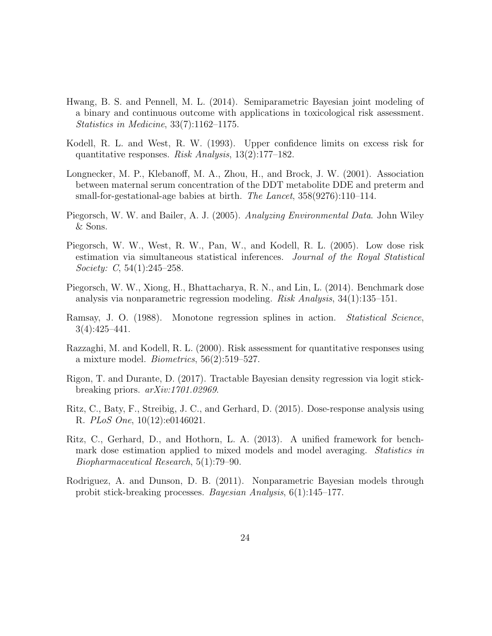- <span id="page-23-8"></span>Hwang, B. S. and Pennell, M. L. (2014). Semiparametric Bayesian joint modeling of a binary and continuous outcome with applications in toxicological risk assessment. Statistics in Medicine, 33(7):1162–1175.
- <span id="page-23-5"></span>Kodell, R. L. and West, R. W. (1993). Upper confidence limits on excess risk for quantitative responses. Risk Analysis, 13(2):177–182.
- <span id="page-23-1"></span>Longnecker, M. P., Klebanoff, M. A., Zhou, H., and Brock, J. W. (2001). Association between maternal serum concentration of the DDT metabolite DDE and preterm and small-for-gestational-age babies at birth. The Lancet, 358(9276):110–114.
- <span id="page-23-0"></span>Piegorsch, W. W. and Bailer, A. J. (2005). Analyzing Environmental Data. John Wiley & Sons.
- <span id="page-23-6"></span>Piegorsch, W. W., West, R. W., Pan, W., and Kodell, R. L. (2005). Low dose risk estimation via simultaneous statistical inferences. Journal of the Royal Statistical Society: C, 54(1):245–258.
- <span id="page-23-2"></span>Piegorsch, W. W., Xiong, H., Bhattacharya, R. N., and Lin, L. (2014). Benchmark dose analysis via nonparametric regression modeling. Risk Analysis, 34(1):135–151.
- <span id="page-23-10"></span>Ramsay, J. O. (1988). Monotone regression splines in action. Statistical Science, 3(4):425–441.
- <span id="page-23-7"></span>Razzaghi, M. and Kodell, R. L. (2000). Risk assessment for quantitative responses using a mixture model. *Biometrics*,  $56(2):519-527$ .
- <span id="page-23-11"></span>Rigon, T. and Durante, D. (2017). Tractable Bayesian density regression via logit stickbreaking priors. arXiv:1701.02969.
- <span id="page-23-4"></span>Ritz, C., Baty, F., Streibig, J. C., and Gerhard, D. (2015). Dose-response analysis using R. PLoS One, 10(12):e0146021.
- <span id="page-23-3"></span>Ritz, C., Gerhard, D., and Hothorn, L. A. (2013). A unified framework for benchmark dose estimation applied to mixed models and model averaging. *Statistics in* Biopharmaceutical Research, 5(1):79–90.
- <span id="page-23-9"></span>Rodriguez, A. and Dunson, D. B. (2011). Nonparametric Bayesian models through probit stick-breaking processes. Bayesian Analysis, 6(1):145–177.